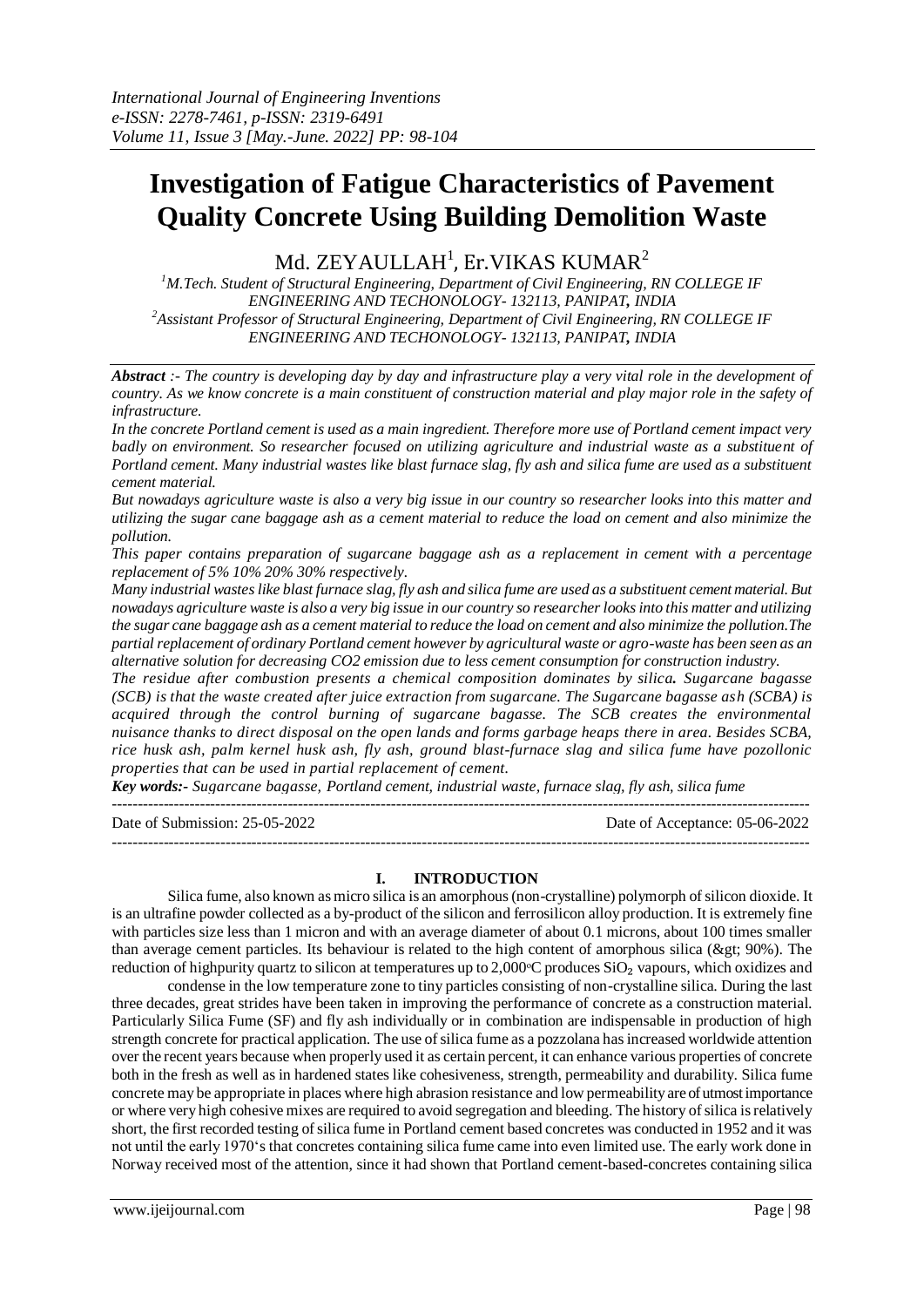# **Investigation of Fatigue Characteristics of Pavement Quality Concrete Using Building Demolition Waste**

Md. ZEYAULLAH $^{\rm l}$ , Er.VIKAS KUMAR $^{\rm 2}$ 

*<sup>1</sup>M.Tech. Student of Structural Engineering, Department of Civil Engineering, RN COLLEGE IF ENGINEERING AND TECHONOLOGY- 132113, PANIPAT, INDIA <sup>2</sup>Assistant Professor of Structural Engineering, Department of Civil Engineering, RN COLLEGE IF ENGINEERING AND TECHONOLOGY- 132113, PANIPAT, INDIA*

*Abstract :- The country is developing day by day and infrastructure play a very vital role in the development of country. As we know concrete is a main constituent of construction material and play major role in the safety of infrastructure.*

*In the concrete Portland cement is used as a main ingredient. Therefore more use of Portland cement impact very badly on environment. So researcher focused on utilizing agriculture and industrial waste as a substituent of Portland cement. Many industrial wastes like blast furnace slag, fly ash and silica fume are used as a substituent cement material.*

*But nowadays agriculture waste is also a very big issue in our country so researcher looks into this matter and utilizing the sugar cane baggage ash as a cement material to reduce the load on cement and also minimize the pollution.*

*This paper contains preparation of sugarcane baggage ash as a replacement in cement with a percentage replacement of 5% 10% 20% 30% respectively.*

*Many industrial wastes like blast furnace slag, fly ash and silica fume are used as a substituent cement material. But nowadays agriculture waste is also a very big issue in our country so researcher looks into this matter and utilizing the sugar cane baggage ash as a cement material to reduce the load on cement and also minimize the pollution.The partial replacement of ordinary Portland cement however by agricultural waste or agro-waste has been seen as an alternative solution for decreasing CO2 emission due to less cement consumption for construction industry.*

*The residue after combustion presents a chemical composition dominates by silica. Sugarcane bagasse (SCB) is that the waste created after juice extraction from sugarcane. The Sugarcane bagasse ash (SCBA) is acquired through the control burning of sugarcane bagasse. The SCB creates the environmental nuisance thanks to direct disposal on the open lands and forms garbage heaps there in area. Besides SCBA, rice husk ash, palm kernel husk ash, fly ash, ground blast-furnace slag and silica fume have pozollonic properties that can be used in partial replacement of cement.* 

*Key words:- Sugarcane bagasse, Portland cement, industrial waste, furnace slag, fly ash, silica fume*

| Date of Submission: 25-05-2022 | Date of Acceptance: 05-06-2022 |
|--------------------------------|--------------------------------|
|                                |                                |

## **I. INTRODUCTION**

Silica fume, also known as micro silica is an amorphous (non-crystalline) polymorph of silicon dioxide. It is an ultrafine powder collected as a by-product of the silicon and ferrosilicon alloy production. It is extremely fine with particles size less than 1 micron and with an average diameter of about 0.1 microns, about 100 times smaller than average cement particles. Its behaviour is related to the high content of amorphous silica ( $&et: 90\%$ ). The reduction of highpurity quartz to silicon at temperatures up to  $2,000^{\circ}$ C produces SiO<sub>2</sub> vapours, which oxidizes and

condense in the low temperature zone to tiny particles consisting of non-crystalline silica. During the last three decades, great strides have been taken in improving the performance of concrete as a construction material. Particularly Silica Fume (SF) and fly ash individually or in combination are indispensable in production of high strength concrete for practical application. The use of silica fume as a pozzolana has increased worldwide attention over the recent years because when properly used it as certain percent, it can enhance various properties of concrete both in the fresh as well as in hardened states like cohesiveness, strength, permeability and durability. Silica fume concrete may be appropriate in places where high abrasion resistance and low permeability are of utmost importance or where very high cohesive mixes are required to avoid segregation and bleeding. The history of silica is relatively short, the first recorded testing of silica fume in Portland cement based concretes was conducted in 1952 and it was not until the early 1970's that concretes containing silica fume came into even limited use. The early work done in Norway received most of the attention, since it had shown that Portland cement-based-concretes containing silica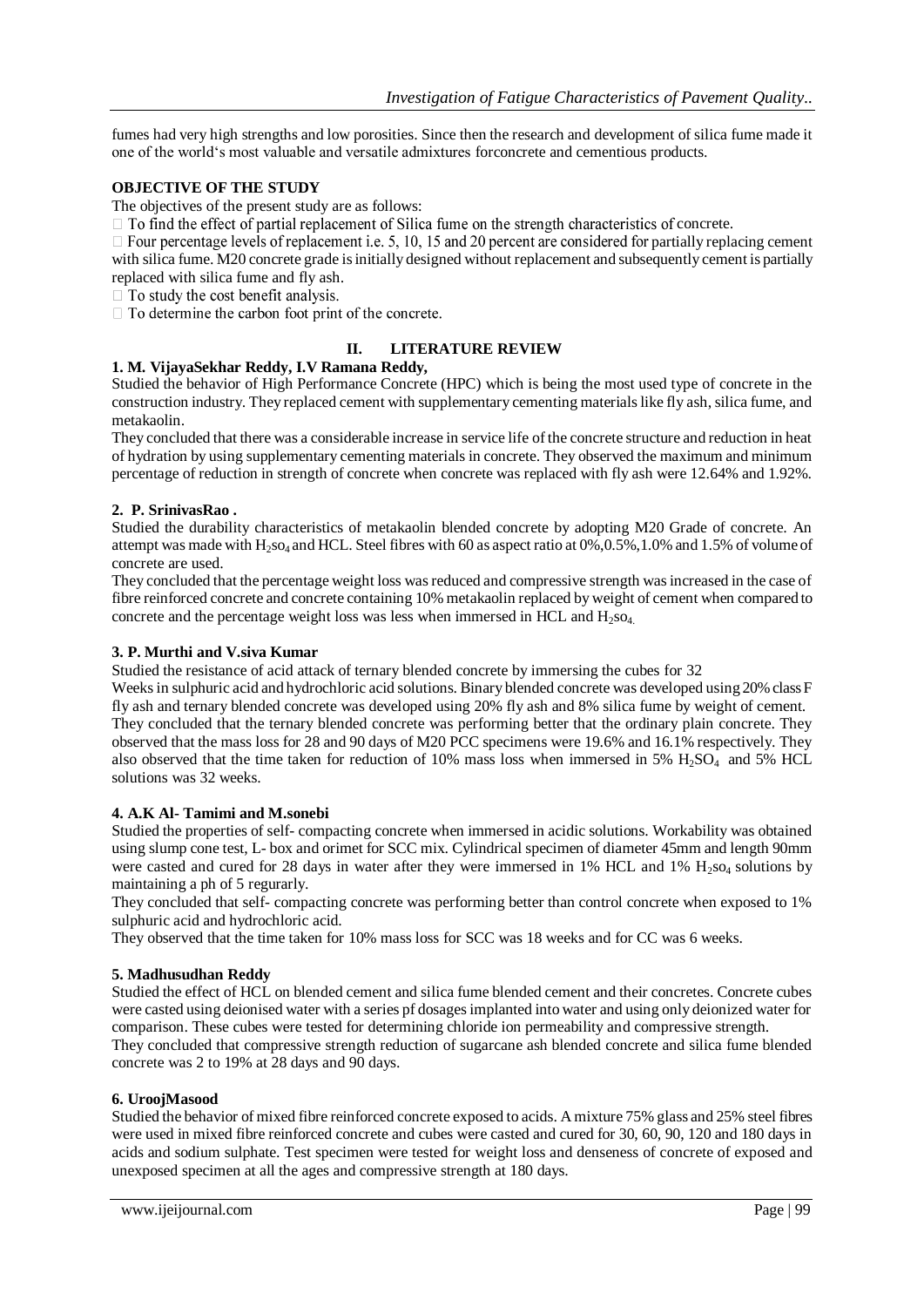fumes had very high strengths and low porosities. Since then the research and development of silica fume made it one of the world's most valuable and versatile admixtures forconcrete and cementious products.

## **OBJECTIVE OF THE STUDY**

The objectives of the present study are as follows:

 $\Box$  To find the effect of partial replacement of Silica fume on the strength characteristics of concrete.

 $\Box$  Four percentage levels of replacement i.e. 5, 10, 15 and 20 percent are considered for partially replacing cement with silica fume. M20 concrete grade is initially designed without replacement and subsequently cement is partially replaced with silica fume and fly ash.

 $\Box$  To study the cost benefit analysis.

 $\Box$  To determine the carbon foot print of the concrete.

## **II. LITERATURE REVIEW**

## **1. M. VijayaSekhar Reddy, I.V Ramana Reddy,**

Studied the behavior of High Performance Concrete (HPC) which is being the most used type of concrete in the construction industry. They replaced cement with supplementary cementing materials like fly ash, silica fume, and metakaolin.

They concluded that there was a considerable increase in service life of the concrete structure and reduction in heat of hydration by using supplementary cementing materials in concrete. They observed the maximum and minimum percentage of reduction in strength of concrete when concrete was replaced with fly ash were 12.64% and 1.92%.

## **2. P. SrinivasRao .**

Studied the durability characteristics of metakaolin blended concrete by adopting M20 Grade of concrete. An attempt was made with  $H_2$ so<sub>4</sub> and HCL. Steel fibres with 60 as aspect ratio at 0%,0.5%,1.0% and 1.5% of volume of concrete are used.

They concluded that the percentage weight loss was reduced and compressive strength was increased in the case of fibre reinforced concrete and concrete containing 10% metakaolin replaced by weight of cement when compared to concrete and the percentage weight loss was less when immersed in HCL and  $H_2$ so<sub>4</sub>.

#### **3. P. Murthi and V.siva Kumar**

Studied the resistance of acid attack of ternary blended concrete by immersing the cubes for 32

Weeks in sulphuric acid and hydrochloric acid solutions. Binary blended concrete was developed using 20% class F fly ash and ternary blended concrete was developed using 20% fly ash and 8% silica fume by weight of cement. They concluded that the ternary blended concrete was performing better that the ordinary plain concrete. They observed that the mass loss for 28 and 90 days of M20 PCC specimens were 19.6% and 16.1% respectively. They also observed that the time taken for reduction of 10% mass loss when immersed in 5%  $H_2SO_4$  and 5% HCL solutions was 32 weeks.

## **4. A.K Al- Tamimi and M.sonebi**

Studied the properties of self- compacting concrete when immersed in acidic solutions. Workability was obtained using slump cone test, L- box and orimet for SCC mix. Cylindrical specimen of diameter 45mm and length 90mm were casted and cured for 28 days in water after they were immersed in 1% HCL and 1%  $H_2$ so<sub>4</sub> solutions by maintaining a ph of 5 regurarly.

They concluded that self- compacting concrete was performing better than control concrete when exposed to 1% sulphuric acid and hydrochloric acid.

They observed that the time taken for 10% mass loss for SCC was 18 weeks and for CC was 6 weeks.

#### **5. Madhusudhan Reddy**

Studied the effect of HCL on blended cement and silica fume blended cement and their concretes. Concrete cubes were casted using deionised water with a series pf dosages implanted into water and using only deionized water for comparison. These cubes were tested for determining chloride ion permeability and compressive strength. They concluded that compressive strength reduction of sugarcane ash blended concrete and silica fume blended concrete was 2 to 19% at 28 days and 90 days.

#### **6. UroojMasood**

Studied the behavior of mixed fibre reinforced concrete exposed to acids. A mixture 75% glass and 25% steel fibres were used in mixed fibre reinforced concrete and cubes were casted and cured for 30, 60, 90, 120 and 180 days in acids and sodium sulphate. Test specimen were tested for weight loss and denseness of concrete of exposed and unexposed specimen at all the ages and compressive strength at 180 days.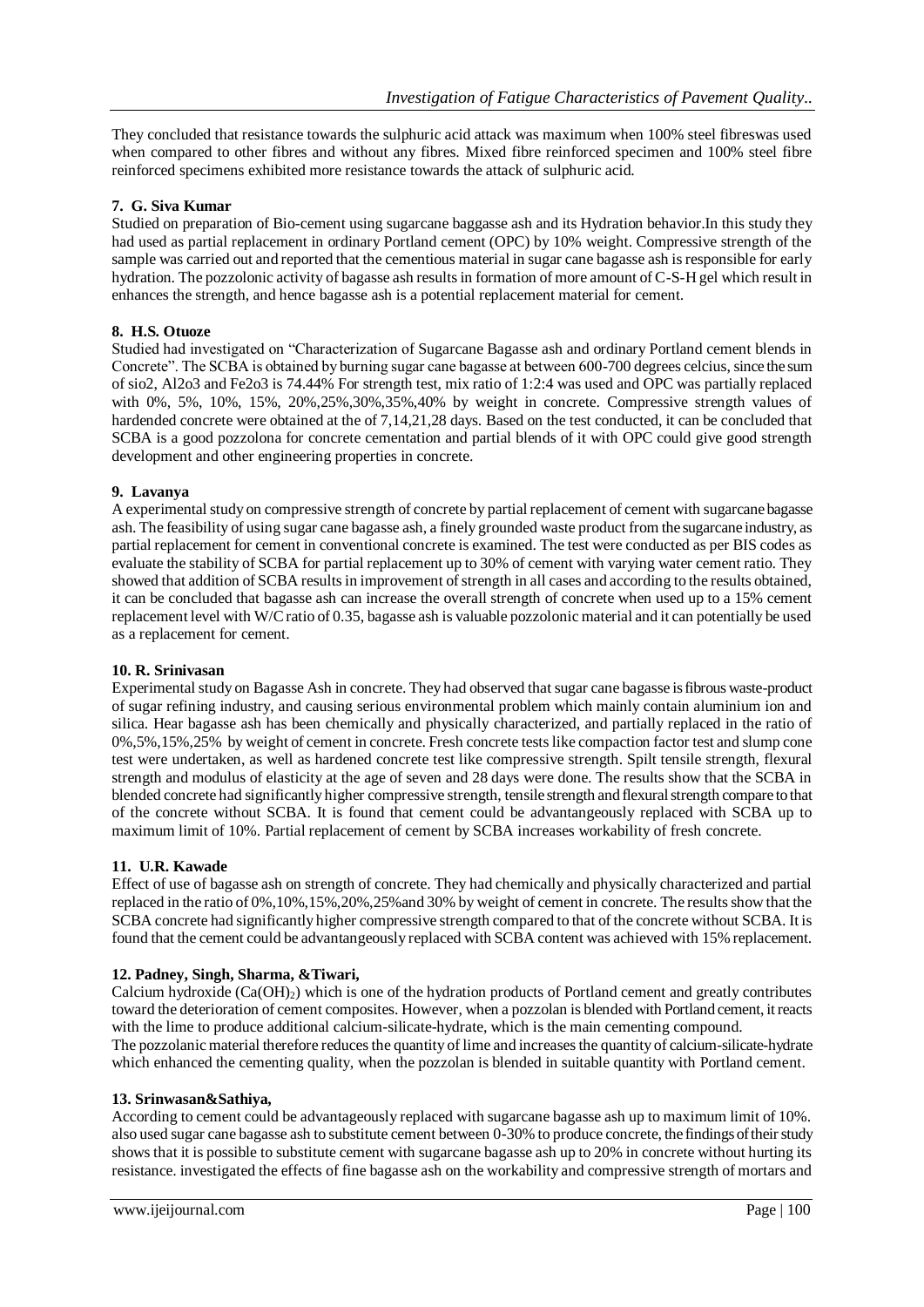They concluded that resistance towards the sulphuric acid attack was maximum when 100% steel fibreswas used when compared to other fibres and without any fibres. Mixed fibre reinforced specimen and 100% steel fibre reinforced specimens exhibited more resistance towards the attack of sulphuric acid.

## **7. G. Siva Kumar**

Studied on preparation of Bio-cement using sugarcane baggasse ash and its Hydration behavior.In this study they had used as partial replacement in ordinary Portland cement (OPC) by 10% weight. Compressive strength of the sample was carried out and reported that the cementious material in sugar cane bagasse ash is responsible for early hydration. The pozzolonic activity of bagasse ash results in formation of more amount of C-S-H gel which result in enhances the strength, and hence bagasse ash is a potential replacement material for cement.

## **8. H.S. Otuoze**

Studied had investigated on "Characterization of Sugarcane Bagasse ash and ordinary Portland cement blends in Concrete". The SCBA is obtained by burning sugar cane bagasse at between 600-700 degrees celcius, since the sum of sio2, Al2o3 and Fe2o3 is 74.44% For strength test, mix ratio of 1:2:4 was used and OPC was partially replaced with 0%, 5%, 10%, 15%, 20%,25%,30%,35%,40% by weight in concrete. Compressive strength values of hardended concrete were obtained at the of 7,14,21,28 days. Based on the test conducted, it can be concluded that SCBA is a good pozzolona for concrete cementation and partial blends of it with OPC could give good strength development and other engineering properties in concrete.

## **9. Lavanya**

A experimental study on compressive strength of concrete by partial replacement of cement with sugarcane bagasse ash. The feasibility of using sugar cane bagasse ash, a finely grounded waste product from the sugarcane industry, as partial replacement for cement in conventional concrete is examined. The test were conducted as per BIS codes as evaluate the stability of SCBA for partial replacement up to 30% of cement with varying water cement ratio. They showed that addition of SCBA results in improvement of strength in all cases and according to the results obtained, it can be concluded that bagasse ash can increase the overall strength of concrete when used up to a 15% cement replacement level with W/C ratio of 0.35, bagasse ash is valuable pozzolonic material and it can potentially be used as a replacement for cement.

## **10. R. Srinivasan**

Experimental study on Bagasse Ash in concrete. They had observed that sugar cane bagasse is fibrous waste-product of sugar refining industry, and causing serious environmental problem which mainly contain aluminium ion and silica. Hear bagasse ash has been chemically and physically characterized, and partially replaced in the ratio of 0%,5%,15%,25% by weight of cement in concrete. Fresh concrete tests like compaction factor test and slump cone test were undertaken, as well as hardened concrete test like compressive strength. Spilt tensile strength, flexural strength and modulus of elasticity at the age of seven and 28 days were done. The results show that the SCBA in blended concrete had significantly higher compressive strength, tensile strength and flexural strength compare to that of the concrete without SCBA. It is found that cement could be advantangeously replaced with SCBA up to maximum limit of 10%. Partial replacement of cement by SCBA increases workability of fresh concrete.

## **11. U.R. Kawade**

Effect of use of bagasse ash on strength of concrete. They had chemically and physically characterized and partial replaced in the ratio of 0%,10%,15%,20%,25%and 30% by weight of cement in concrete. The results show that the SCBA concrete had significantly higher compressive strength compared to that of the concrete without SCBA. It is found that the cement could be advantangeously replaced with SCBA content was achieved with 15% replacement.

## **12. Padney, Singh, Sharma, &Tiwari,**

Calcium hydroxide  $(Ca(OH)_2)$  which is one of the hydration products of Portland cement and greatly contributes toward the deterioration of cement composites. However, when a pozzolan is blended with Portland cement, it reacts with the lime to produce additional calcium-silicate-hydrate, which is the main cementing compound. The pozzolanic material therefore reduces the quantity of lime and increases the quantity of calcium-silicate-hydrate which enhanced the cementing quality, when the pozzolan is blended in suitable quantity with Portland cement.

## **13. Srinwasan&Sathiya,**

According to cement could be advantageously replaced with sugarcane bagasse ash up to maximum limit of 10%. also used sugar cane bagasse ash to substitute cement between 0-30% to produce concrete, the findings of their study shows that it is possible to substitute cement with sugarcane bagasse ash up to 20% in concrete without hurting its resistance. investigated the effects of fine bagasse ash on the workability and compressive strength of mortars and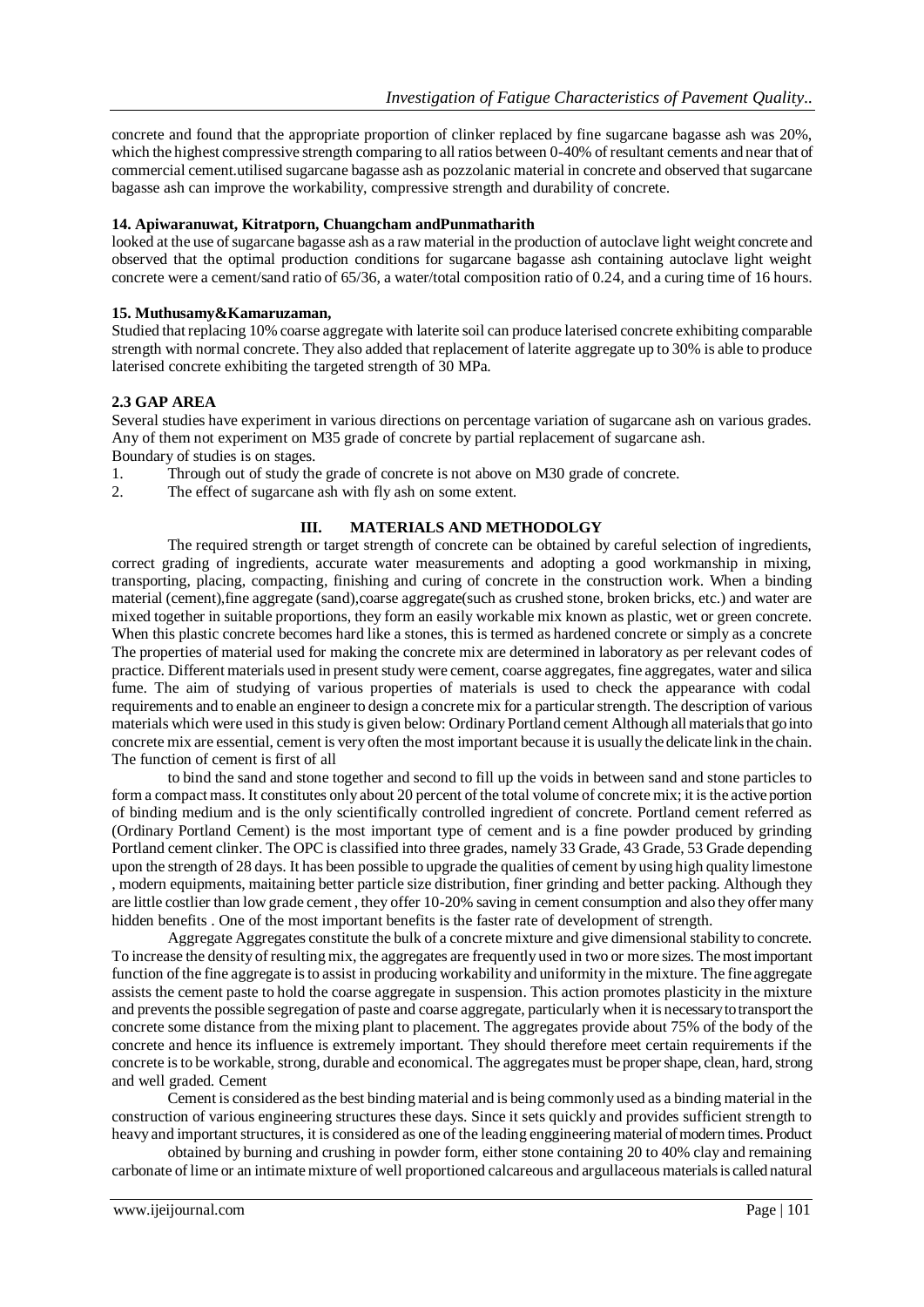concrete and found that the appropriate proportion of clinker replaced by fine sugarcane bagasse ash was 20%, which the highest compressive strength comparing to all ratios between 0-40% of resultant cements and near that of commercial cement.utilised sugarcane bagasse ash as pozzolanic material in concrete and observed that sugarcane bagasse ash can improve the workability, compressive strength and durability of concrete.

## **14. Apiwaranuwat, Kitratporn, Chuangcham andPunmatharith**

looked at the use of sugarcane bagasse ash as a raw material in the production of autoclave light weight concrete and observed that the optimal production conditions for sugarcane bagasse ash containing autoclave light weight concrete were a cement/sand ratio of 65/36, a water/total composition ratio of 0.24, and a curing time of 16 hours.

## **15. Muthusamy&Kamaruzaman,**

Studied that replacing 10% coarse aggregate with laterite soil can produce laterised concrete exhibiting comparable strength with normal concrete. They also added that replacement of laterite aggregate up to 30% is able to produce laterised concrete exhibiting the targeted strength of 30 MPa.

# **2.3 GAP AREA**

Several studies have experiment in various directions on percentage variation of sugarcane ash on various grades. Any of them not experiment on M35 grade of concrete by partial replacement of sugarcane ash. Boundary of studies is on stages.

- 1. Through out of study the grade of concrete is not above on M30 grade of concrete.
- 2. The effect of sugarcane ash with fly ash on some extent.

## **III. MATERIALS AND METHODOLGY**

The required strength or target strength of concrete can be obtained by careful selection of ingredients, correct grading of ingredients, accurate water measurements and adopting a good workmanship in mixing, transporting, placing, compacting, finishing and curing of concrete in the construction work. When a binding material (cement),fine aggregate (sand),coarse aggregate(such as crushed stone, broken bricks, etc.) and water are mixed together in suitable proportions, they form an easily workable mix known as plastic, wet or green concrete. When this plastic concrete becomes hard like a stones, this is termed as hardened concrete or simply as a concrete The properties of material used for making the concrete mix are determined in laboratory as per relevant codes of practice. Different materials used in present study were cement, coarse aggregates, fine aggregates, water and silica fume. The aim of studying of various properties of materials is used to check the appearance with codal requirements and to enable an engineer to design a concrete mix for a particular strength. The description of various materials which were used in this study is given below: Ordinary Portland cement Although all materials that go into concrete mix are essential, cement is very often the most important because it is usually the delicate link in the chain. The function of cement is first of all

to bind the sand and stone together and second to fill up the voids in between sand and stone particles to form a compact mass. It constitutes only about 20 percent of the total volume of concrete mix; it is the active portion of binding medium and is the only scientifically controlled ingredient of concrete. Portland cement referred as (Ordinary Portland Cement) is the most important type of cement and is a fine powder produced by grinding Portland cement clinker. The OPC is classified into three grades, namely 33 Grade, 43 Grade, 53 Grade depending upon the strength of 28 days. It has been possible to upgrade the qualities of cement by using high quality limestone , modern equipments, maitaining better particle size distribution, finer grinding and better packing. Although they are little costlier than low grade cement , they offer 10-20% saving in cement consumption and also they offer many hidden benefits . One of the most important benefits is the faster rate of development of strength.

Aggregate Aggregates constitute the bulk of a concrete mixture and give dimensional stability to concrete. To increase the density of resulting mix, the aggregates are frequently used in two or more sizes. The most important function of the fine aggregate is to assist in producing workability and uniformity in the mixture. The fine aggregate assists the cement paste to hold the coarse aggregate in suspension. This action promotes plasticity in the mixture and prevents the possible segregation of paste and coarse aggregate, particularly when it is necessary to transport the concrete some distance from the mixing plant to placement. The aggregates provide about 75% of the body of the concrete and hence its influence is extremely important. They should therefore meet certain requirements if the concrete is to be workable, strong, durable and economical. The aggregates must be proper shape, clean, hard, strong and well graded. Cement

Cement is considered as the best binding material and is being commonly used as a binding material in the construction of various engineering structures these days. Since it sets quickly and provides sufficient strength to heavy and important structures, it is considered as one of the leading enggineering material of modern times. Product

obtained by burning and crushing in powder form, either stone containing 20 to 40% clay and remaining carbonate of lime or an intimate mixture of well proportioned calcareous and argullaceous materials is called natural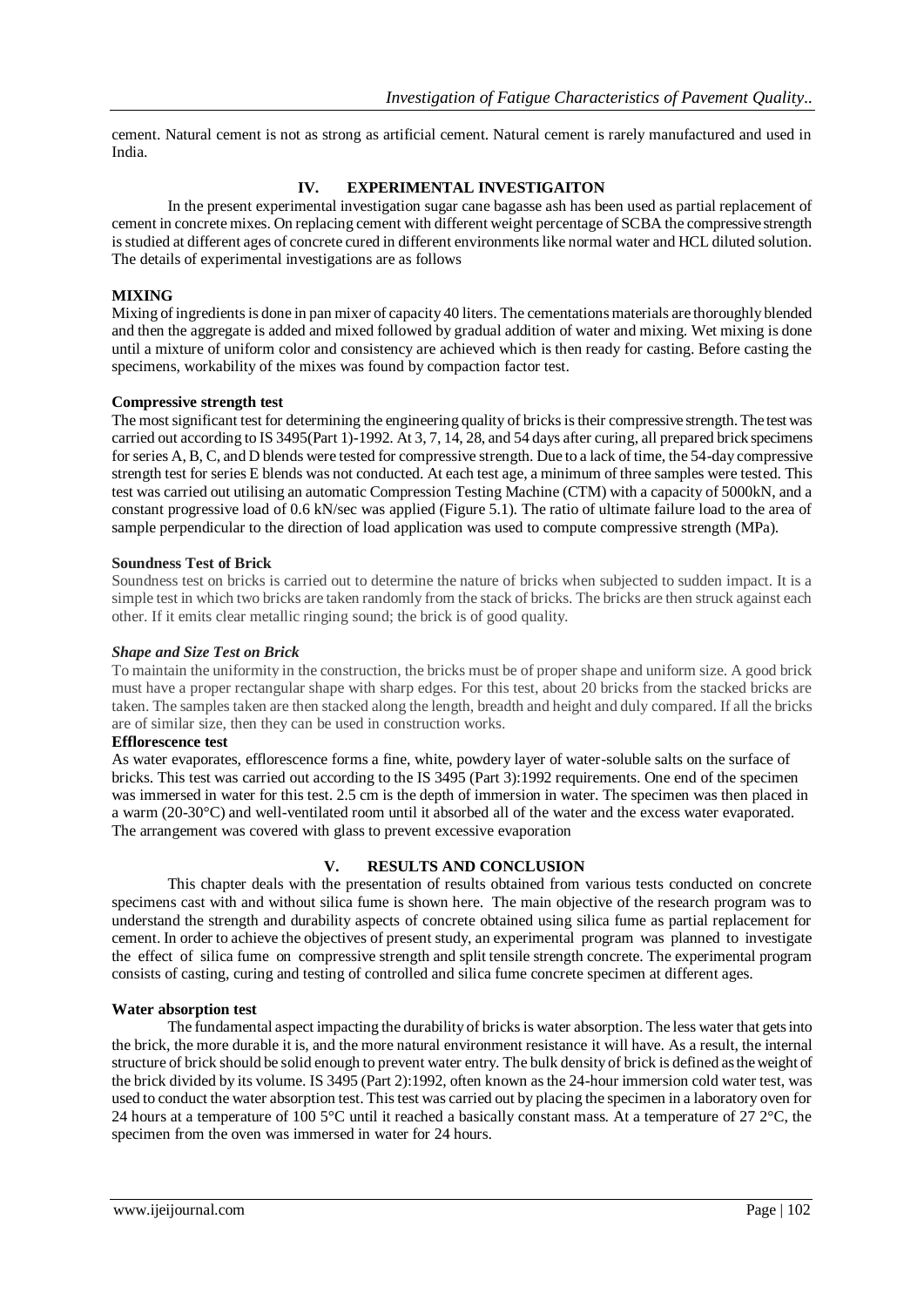cement. Natural cement is not as strong as artificial cement. Natural cement is rarely manufactured and used in India.

# **IV. EXPERIMENTAL INVESTIGAITON**

In the present experimental investigation sugar cane bagasse ash has been used as partial replacement of cement in concrete mixes. On replacing cement with different weight percentage of SCBA the compressive strength is studied at different ages of concrete cured in different environments like normal water and HCL diluted solution. The details of experimental investigations are as follows

## **MIXING**

Mixing of ingredients is done in pan mixer of capacity 40 liters. The cementations materials are thoroughly blended and then the aggregate is added and mixed followed by gradual addition of water and mixing. Wet mixing is done until a mixture of uniform color and consistency are achieved which is then ready for casting. Before casting the specimens, workability of the mixes was found by compaction factor test.

## **Compressive strength test**

The most significant test for determining the engineering quality of bricks is their compressive strength. The test was carried out according to IS 3495(Part 1)-1992. At 3, 7, 14, 28, and 54 days after curing, all prepared brick specimens for series A, B, C, and D blends were tested for compressive strength. Due to a lack of time, the 54-day compressive strength test for series E blends was not conducted. At each test age, a minimum of three samples were tested. This test was carried out utilising an automatic Compression Testing Machine (CTM) with a capacity of 5000kN, and a constant progressive load of 0.6 kN/sec was applied (Figure 5.1). The ratio of ultimate failure load to the area of sample perpendicular to the direction of load application was used to compute compressive strength (MPa).

## **Soundness Test of Brick**

Soundness test on bricks is carried out to determine the nature of bricks when subjected to sudden impact. It is a simple test in which two bricks are taken randomly from the stack of bricks. The bricks are then struck against each other. If it emits clear metallic ringing sound; the brick is of good quality.

## *Shape and Size Test on Brick*

To maintain the uniformity in the construction, the bricks must be of proper shape and uniform size. A good brick must have a proper rectangular shape with sharp edges. For this test, about 20 bricks from the stacked bricks are taken. The samples taken are then stacked along the length, breadth and height and duly compared. If all the bricks are of similar size, then they can be used in construction works.

## **Efflorescence test**

As water evaporates, efflorescence forms a fine, white, powdery layer of water-soluble salts on the surface of bricks. This test was carried out according to the IS 3495 (Part 3):1992 requirements. One end of the specimen was immersed in water for this test. 2.5 cm is the depth of immersion in water. The specimen was then placed in a warm (20-30°C) and well-ventilated room until it absorbed all of the water and the excess water evaporated. The arrangement was covered with glass to prevent excessive evaporation

# **V. RESULTS AND CONCLUSION**

This chapter deals with the presentation of results obtained from various tests conducted on concrete specimens cast with and without silica fume is shown here. The main objective of the research program was to understand the strength and durability aspects of concrete obtained using silica fume as partial replacement for cement. In order to achieve the objectives of present study, an experimental program was planned to investigate the effect of silica fume on compressive strength and split tensile strength concrete. The experimental program consists of casting, curing and testing of controlled and silica fume concrete specimen at different ages.

## **Water absorption test**

The fundamental aspect impacting the durability of bricks is water absorption. The less water that gets into the brick, the more durable it is, and the more natural environment resistance it will have. As a result, the internal structure of brick should be solid enough to prevent water entry. The bulk density of brick is defined as the weight of the brick divided by its volume. IS 3495 (Part 2):1992, often known as the 24-hour immersion cold water test, was used to conduct the water absorption test. This test was carried out by placing the specimen in a laboratory oven for 24 hours at a temperature of 100 5°C until it reached a basically constant mass. At a temperature of 27 2°C, the specimen from the oven was immersed in water for 24 hours.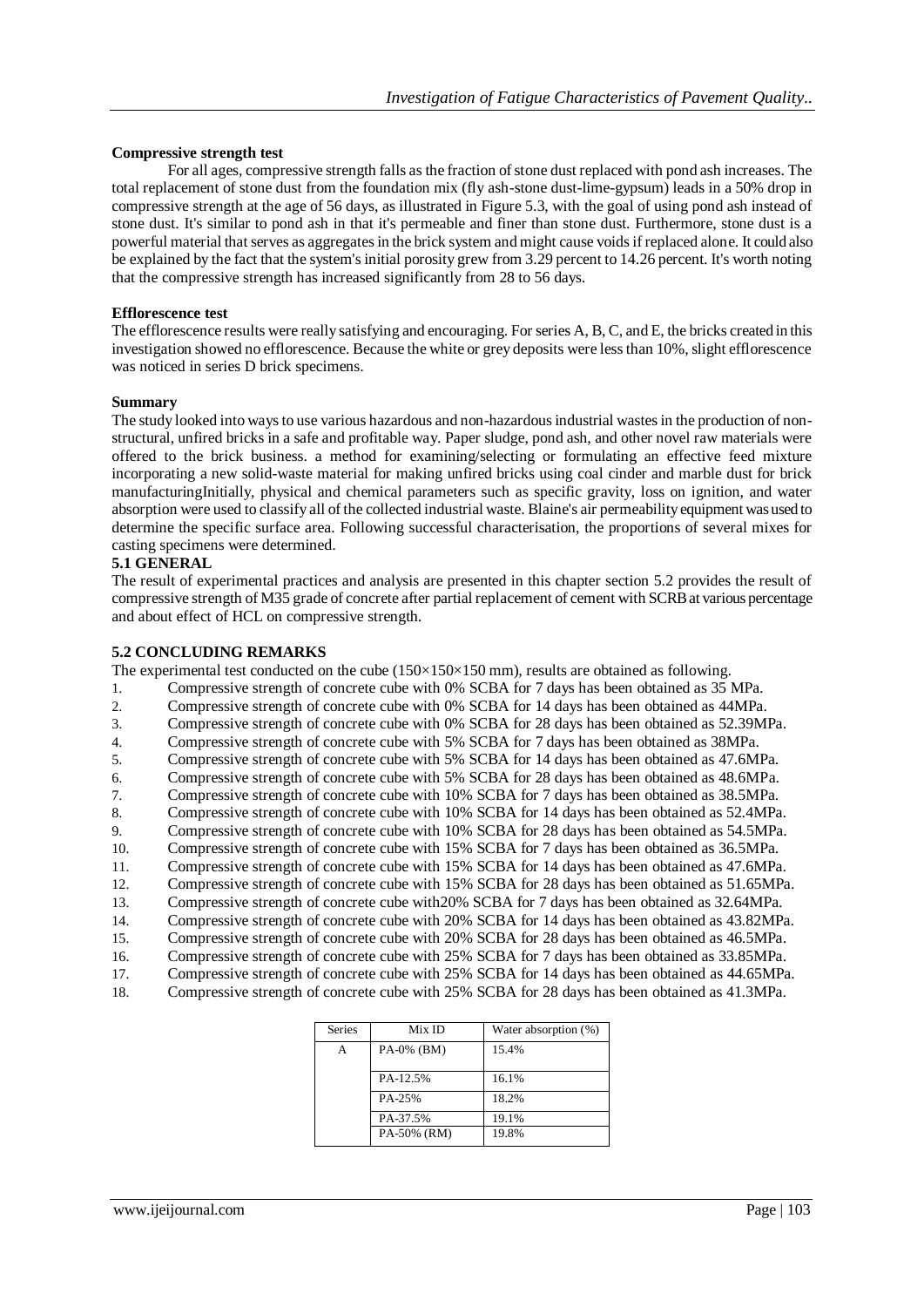## **Compressive strength test**

For all ages, compressive strength falls as the fraction of stone dust replaced with pond ash increases. The total replacement of stone dust from the foundation mix (fly ash-stone dust-lime-gypsum) leads in a 50% drop in compressive strength at the age of 56 days, as illustrated in Figure 5.3, with the goal of using pond ash instead of stone dust. It's similar to pond ash in that it's permeable and finer than stone dust. Furthermore, stone dust is a powerful material that serves as aggregates in the brick system and might cause voids if replaced alone. It could also be explained by the fact that the system's initial porosity grew from 3.29 percent to 14.26 percent. It's worth noting that the compressive strength has increased significantly from 28 to 56 days.

## **Efflorescence test**

The efflorescence results were really satisfying and encouraging. For series A, B, C, and E, the bricks created in this investigation showed no efflorescence. Because the white or grey deposits were less than 10%, slight efflorescence was noticed in series D brick specimens.

#### **Summary**

The study looked into ways to use various hazardous and non-hazardous industrial wastes in the production of nonstructural, unfired bricks in a safe and profitable way. Paper sludge, pond ash, and other novel raw materials were offered to the brick business. a method for examining/selecting or formulating an effective feed mixture incorporating a new solid-waste material for making unfired bricks using coal cinder and marble dust for brick manufacturingInitially, physical and chemical parameters such as specific gravity, loss on ignition, and water absorption were used to classify all of the collected industrial waste. Blaine's air permeability equipment was used to determine the specific surface area. Following successful characterisation, the proportions of several mixes for casting specimens were determined.

## **5.1 GENERAL**

The result of experimental practices and analysis are presented in this chapter section 5.2 provides the result of compressive strength of M35 grade of concrete after partial replacement of cement with SCRB at various percentage and about effect of HCL on compressive strength.

## **5.2 CONCLUDING REMARKS**

The experimental test conducted on the cube  $(150\times150\times150$  mm), results are obtained as following.

- 1. Compressive strength of concrete cube with 0% SCBA for 7 days has been obtained as 35 MPa.
- 2. Compressive strength of concrete cube with 0% SCBA for 14 days has been obtained as 44MPa.
- 3. Compressive strength of concrete cube with 0% SCBA for 28 days has been obtained as 52.39MPa.
- 4. Compressive strength of concrete cube with 5% SCBA for 7 days has been obtained as 38MPa.
- 5. Compressive strength of concrete cube with 5% SCBA for 14 days has been obtained as 47.6MPa.
- 6. Compressive strength of concrete cube with 5% SCBA for 28 days has been obtained as 48.6MPa.<br>
Compressive strength of concrete cube with 10% SCBA for 7 days has been obtained as 38.5MPa.
- 7. Compressive strength of concrete cube with 10% SCBA for 7 days has been obtained as 38.5MPa.
- 8. Compressive strength of concrete cube with 10% SCBA for 14 days has been obtained as 52.4MPa.
- 9. Compressive strength of concrete cube with 10% SCBA for 28 days has been obtained as 54.5MPa.
- 10. Compressive strength of concrete cube with 15% SCBA for 7 days has been obtained as 36.5MPa.
- 11. Compressive strength of concrete cube with 15% SCBA for 14 days has been obtained as 47.6MPa.
- 12. Compressive strength of concrete cube with 15% SCBA for 28 days has been obtained as 51.65MPa.
- 13. Compressive strength of concrete cube with20% SCBA for 7 days has been obtained as 32.64MPa.
- 14. Compressive strength of concrete cube with 20% SCBA for 14 days has been obtained as 43.82MPa.
- 15. Compressive strength of concrete cube with 20% SCBA for 28 days has been obtained as 46.5MPa.
- 16. Compressive strength of concrete cube with 25% SCBA for 7 days has been obtained as 33.85MPa. 17. Compressive strength of concrete cube with 25% SCBA for 14 days has been obtained as 44.65MPa.
- 18. Compressive strength of concrete cube with 25% SCBA for 28 days has been obtained as 41.3MPa.

| <b>Series</b> | Mix ID       | Water absorption (%) |
|---------------|--------------|----------------------|
| А             | PA-0% $(BM)$ | 15.4%                |
|               |              |                      |
|               | PA-12.5%     | 16.1%                |
|               | PA-25%       | 18.2%                |
|               | PA-37.5%     | 19.1%                |
|               | PA-50% (RM)  | 19.8%                |
|               |              |                      |